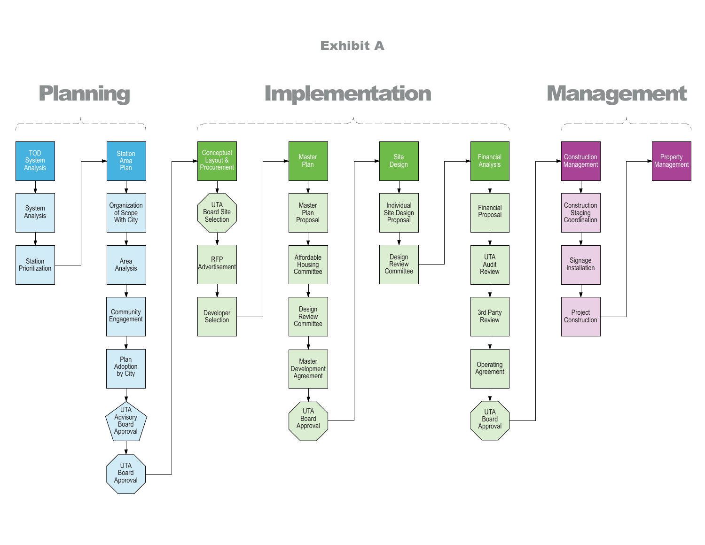

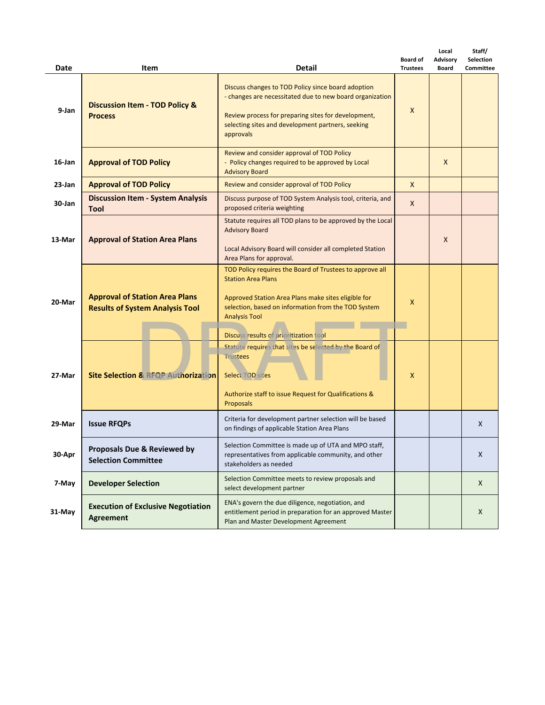| Date      | Item                                                                            | <b>Detail</b>                                                                                                                                                                                                                                                         | <b>Board of</b><br><b>Trustees</b> | Local<br>Advisory<br><b>Board</b> | Staff/<br>Selection<br><b>Committee</b> |
|-----------|---------------------------------------------------------------------------------|-----------------------------------------------------------------------------------------------------------------------------------------------------------------------------------------------------------------------------------------------------------------------|------------------------------------|-----------------------------------|-----------------------------------------|
| 9-Jan     | <b>Discussion Item - TOD Policy &amp;</b><br><b>Process</b>                     | Discuss changes to TOD Policy since board adoption<br>- changes are necessitated due to new board organization<br>Review process for preparing sites for development,<br>selecting sites and development partners, seeking<br>approvals                               | X                                  |                                   |                                         |
| $16$ -Jan | <b>Approval of TOD Policy</b>                                                   | Review and consider approval of TOD Policy<br>- Policy changes required to be approved by Local<br><b>Advisory Board</b>                                                                                                                                              |                                    | X                                 |                                         |
| $23$ -Jan | <b>Approval of TOD Policy</b>                                                   | Review and consider approval of TOD Policy                                                                                                                                                                                                                            | X                                  |                                   |                                         |
| 30-Jan    | <b>Discussion Item - System Analysis</b><br><b>Tool</b>                         | Discuss purpose of TOD System Analysis tool, criteria, and<br>proposed criteria weighting                                                                                                                                                                             | X                                  |                                   |                                         |
| 13-Mar    | <b>Approval of Station Area Plans</b>                                           | Statute requires all TOD plans to be approved by the Local<br><b>Advisory Board</b><br>Local Advisory Board will consider all completed Station<br>Area Plans for approval.                                                                                           |                                    | X                                 |                                         |
| 20-Mar    | <b>Approval of Station Area Plans</b><br><b>Results of System Analysis Tool</b> | TOD Policy requires the Board of Trustees to approve all<br><b>Station Area Plans</b><br>Approved Station Area Plans make sites eligible for<br>selection, based on information from the TOD System<br><b>Analysis Tool</b><br>Discuss results of prioritization tool | X                                  |                                   |                                         |
| 27-Mar    | <b>Site Selection &amp; RFQP Authorization</b>                                  | Statute requires that sites be selected by the Board of<br><b>Trustees</b><br>Select TOD sites<br>Authorize staff to issue Request for Qualifications &<br><b>Proposals</b>                                                                                           | X                                  |                                   |                                         |
| 29-Mar    | <b>Issue RFQPs</b>                                                              | Criteria for development partner selection will be based<br>on findings of applicable Station Area Plans                                                                                                                                                              |                                    |                                   | X                                       |
| 30-Apr    | Proposals Due & Reviewed by<br><b>Selection Committee</b>                       | Selection Committee is made up of UTA and MPO staff,<br>representatives from applicable community, and other<br>stakeholders as needed                                                                                                                                |                                    |                                   | X                                       |
| 7-May     | <b>Developer Selection</b>                                                      | Selection Committee meets to review proposals and<br>select development partner                                                                                                                                                                                       |                                    |                                   | X                                       |
| 31-May    | <b>Execution of Exclusive Negotiation</b><br>Agreement                          | ENA's govern the due diligence, negotiation, and<br>entitlement period in preparation for an approved Master<br>Plan and Master Development Agreement                                                                                                                 |                                    |                                   | X                                       |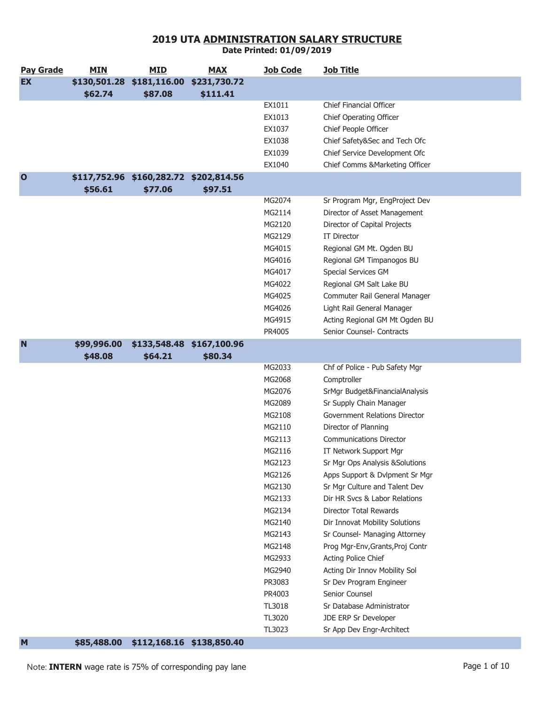**Pay Grade MIN MID MAX Job Code Job Title EX \$130,501.28 \$181,116.00 \$231,730.72 \$62.74 \$87.08 \$111.41** EX1011 Chief Financial Officer EX1013 Chief Operating Officer EX1037 Chief People Officer EX1038 Chief Safety&Sec and Tech Ofc EX1039 Chief Service Development Ofc EX1040 Chief Comms &Marketing Officer **O \$117,752.96 \$160,282.72 \$202,814.56 \$56.61 \$77.06 \$97.51** MG2074 Sr Program Mgr, EngProject Dev MG2114 Director of Asset Management MG2120 Director of Capital Projects MG2129 IT Director MG4015 Regional GM Mt. Ogden BU MG4016 Regional GM Timpanogos BU MG4017 Special Services GM MG4022 Regional GM Salt Lake BU MG4025 Commuter Rail General Manager MG4026 Light Rail General Manager MG4915 Acting Regional GM Mt Ogden BU PR4005 Senior Counsel- Contracts **N \$99,996.00 \$133,548.48 \$167,100.96 \$48.08 \$64.21 \$80.34** MG2033 Chf of Police - Pub Safety Mgr MG2068 Comptroller MG2076 SrMgr Budget&FinancialAnalysis MG2089 Sr Supply Chain Manager MG2108 Government Relations Director MG2110 Director of Planning MG2113 Communications Director MG2116 **IT Network Support Mgr** MG2123 Sr Mgr Ops Analysis &Solutions MG2126 Apps Support & Dvlpment Sr Mgr MG2130 Sr Mar Culture and Talent Dev MG2133 Dir HR Svcs & Labor Relations MG2134 Director Total Rewards MG2140 Dir Innovat Mobility Solutions MG2143 Sr Counsel- Managing Attorney MG2148 Prog Mgr-Env,Grants,Proj Contr MG2933 Acting Police Chief MG2940 Acting Dir Innov Mobility Sol PR3083 Sr Dev Program Engineer PR4003 Senior Counsel TL3018 Sr Database Administrator TL3020 JDE ERP Sr Developer TL3023 Sr App Dev Engr-Architect

**Date Printed: 01/09/2019**

**M \$85,488.00 \$112,168.16 \$138,850.40**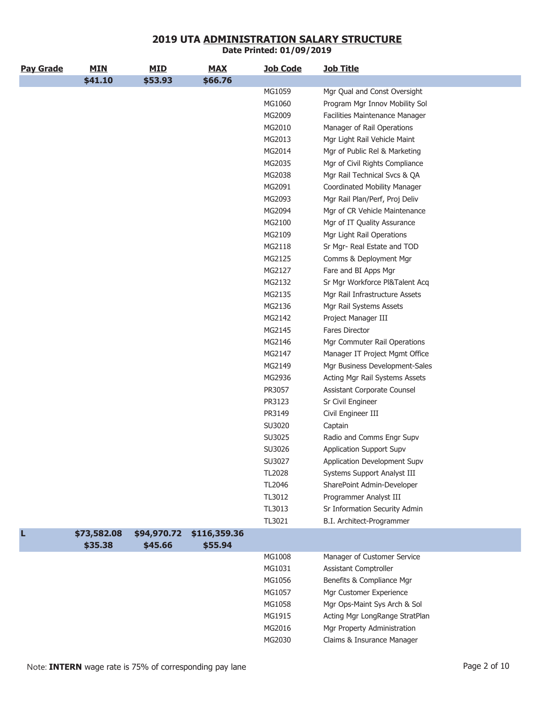| <b>Pay Grade</b> | <b>MIN</b>  | <b>MID</b>  | <b>MAX</b>   | <b>Job Code</b> | <b>Job Title</b>                |
|------------------|-------------|-------------|--------------|-----------------|---------------------------------|
|                  | \$41.10     | \$53.93     | \$66.76      |                 |                                 |
|                  |             |             |              | MG1059          | Mgr Qual and Const Oversight    |
|                  |             |             |              | MG1060          | Program Mgr Innov Mobility Sol  |
|                  |             |             |              | MG2009          | Facilities Maintenance Manager  |
|                  |             |             |              | MG2010          | Manager of Rail Operations      |
|                  |             |             |              | MG2013          | Mgr Light Rail Vehicle Maint    |
|                  |             |             |              | MG2014          | Mgr of Public Rel & Marketing   |
|                  |             |             |              | MG2035          | Mgr of Civil Rights Compliance  |
|                  |             |             |              | MG2038          | Mgr Rail Technical Svcs & QA    |
|                  |             |             |              | MG2091          | Coordinated Mobility Manager    |
|                  |             |             |              | MG2093          | Mgr Rail Plan/Perf, Proj Deliv  |
|                  |             |             |              | MG2094          | Mgr of CR Vehicle Maintenance   |
|                  |             |             |              | MG2100          | Mgr of IT Quality Assurance     |
|                  |             |             |              | MG2109          | Mgr Light Rail Operations       |
|                  |             |             |              | MG2118          | Sr Mgr- Real Estate and TOD     |
|                  |             |             |              | MG2125          | Comms & Deployment Mgr          |
|                  |             |             |              | MG2127          | Fare and BI Apps Mgr            |
|                  |             |             |              | MG2132          | Sr Mgr Workforce PI&Talent Acq  |
|                  |             |             |              | MG2135          | Mgr Rail Infrastructure Assets  |
|                  |             |             |              | MG2136          | Mgr Rail Systems Assets         |
|                  |             |             |              | MG2142          | Project Manager III             |
|                  |             |             |              | MG2145          | <b>Fares Director</b>           |
|                  |             |             |              | MG2146          | Mgr Commuter Rail Operations    |
|                  |             |             |              | MG2147          | Manager IT Project Mgmt Office  |
|                  |             |             |              | MG2149          | Mgr Business Development-Sales  |
|                  |             |             |              | MG2936          | Acting Mgr Rail Systems Assets  |
|                  |             |             |              | PR3057          | Assistant Corporate Counsel     |
|                  |             |             |              | PR3123          | Sr Civil Engineer               |
|                  |             |             |              | PR3149          | Civil Engineer III              |
|                  |             |             |              | SU3020          | Captain                         |
|                  |             |             |              | SU3025          | Radio and Comms Engr Supv       |
|                  |             |             |              | SU3026          | <b>Application Support Supv</b> |
|                  |             |             |              | SU3027          | Application Development Supv    |
|                  |             |             |              | TL2028          | Systems Support Analyst III     |
|                  |             |             |              | TL2046          | SharePoint Admin-Developer      |
|                  |             |             |              | TL3012          | Programmer Analyst III          |
|                  |             |             |              | TL3013          | Sr Information Security Admin   |
|                  |             |             |              | TL3021          | B.I. Architect-Programmer       |
| п                | \$73,582.08 | \$94,970.72 | \$116,359.36 |                 |                                 |
|                  | \$35.38     | \$45.66     | \$55.94      |                 |                                 |
|                  |             |             |              | MG1008          | Manager of Customer Service     |
|                  |             |             |              | MG1031          | Assistant Comptroller           |
|                  |             |             |              | MG1056          | Benefits & Compliance Mgr       |
|                  |             |             |              | MG1057          | Mgr Customer Experience         |
|                  |             |             |              | MG1058          | Mgr Ops-Maint Sys Arch & Sol    |
|                  |             |             |              | MG1915          | Acting Mgr LongRange StratPlan  |
|                  |             |             |              | MG2016          | Mgr Property Administration     |
|                  |             |             |              | MG2030          | Claims & Insurance Manager      |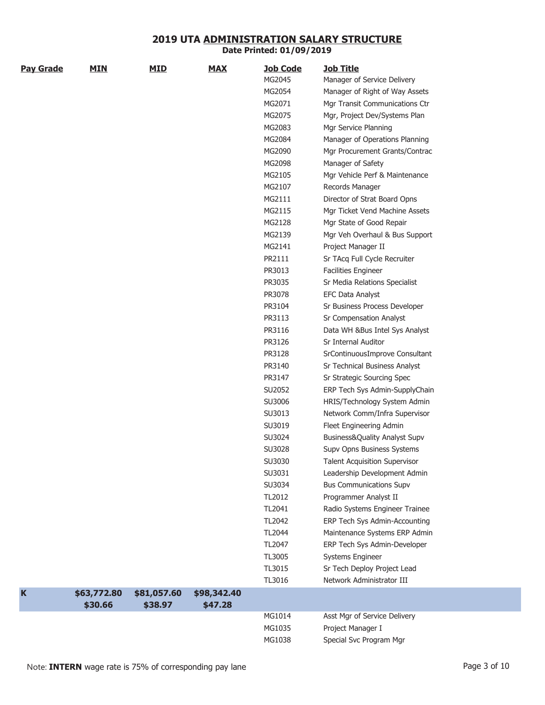| <b>Pay Grade</b> | <b>MIN</b>  | <b>MID</b>  | <b>MAX</b>  | <b>Job Code</b> | <u>Job Title</u>                     |
|------------------|-------------|-------------|-------------|-----------------|--------------------------------------|
|                  |             |             |             | MG2045          | Manager of Service Delivery          |
|                  |             |             |             | MG2054          | Manager of Right of Way Assets       |
|                  |             |             |             | MG2071          | Mgr Transit Communications Ctr       |
|                  |             |             |             | MG2075          | Mgr, Project Dev/Systems Plan        |
|                  |             |             |             | MG2083          | Mgr Service Planning                 |
|                  |             |             |             | MG2084          | Manager of Operations Planning       |
|                  |             |             |             | MG2090          | Mgr Procurement Grants/Contrac       |
|                  |             |             |             | MG2098          | Manager of Safety                    |
|                  |             |             |             | MG2105          | Mgr Vehicle Perf & Maintenance       |
|                  |             |             |             | MG2107          | Records Manager                      |
|                  |             |             |             | MG2111          | Director of Strat Board Opns         |
|                  |             |             |             | MG2115          | Mgr Ticket Vend Machine Assets       |
|                  |             |             |             | MG2128          | Mgr State of Good Repair             |
|                  |             |             |             | MG2139          | Mgr Veh Overhaul & Bus Support       |
|                  |             |             |             | MG2141          | Project Manager II                   |
|                  |             |             |             | PR2111          | Sr TAcq Full Cycle Recruiter         |
|                  |             |             |             | PR3013          | <b>Facilities Engineer</b>           |
|                  |             |             |             | PR3035          | Sr Media Relations Specialist        |
|                  |             |             |             | PR3078          | <b>EFC Data Analyst</b>              |
|                  |             |             |             | PR3104          | Sr Business Process Developer        |
|                  |             |             |             | PR3113          | Sr Compensation Analyst              |
|                  |             |             |             | PR3116          | Data WH &Bus Intel Sys Analyst       |
|                  |             |             |             | PR3126          | <b>Sr Internal Auditor</b>           |
|                  |             |             |             | PR3128          | SrContinuousImprove Consultant       |
|                  |             |             |             | PR3140          | Sr Technical Business Analyst        |
|                  |             |             |             | PR3147          | Sr Strategic Sourcing Spec           |
|                  |             |             |             | SU2052          | ERP Tech Sys Admin-SupplyChain       |
|                  |             |             |             | SU3006          | HRIS/Technology System Admin         |
|                  |             |             |             | SU3013          | Network Comm/Infra Supervisor        |
|                  |             |             |             | SU3019          | Fleet Engineering Admin              |
|                  |             |             |             | SU3024          | Business&Quality Analyst Supv        |
|                  |             |             |             | SU3028          | Supv Opns Business Systems           |
|                  |             |             |             | SU3030          | <b>Talent Acquisition Supervisor</b> |
|                  |             |             |             | SU3031          | Leadership Development Admin         |
|                  |             |             |             | SU3034          | <b>Bus Communications Supv</b>       |
|                  |             |             |             | TL2012          | Programmer Analyst II                |
|                  |             |             |             | TL2041          | Radio Systems Engineer Trainee       |
|                  |             |             |             | TL2042          | ERP Tech Sys Admin-Accounting        |
|                  |             |             |             | TL2044          | Maintenance Systems ERP Admin        |
|                  |             |             |             | TL2047          | ERP Tech Sys Admin-Developer         |
|                  |             |             |             | TL3005          | Systems Engineer                     |
|                  |             |             |             | TL3015          | Sr Tech Deploy Project Lead          |
|                  |             |             |             | TL3016          | Network Administrator III            |
| $\mathbf K$      | \$63,772.80 | \$81,057.60 | \$98,342.40 |                 |                                      |
|                  | \$30.66     | \$38.97     | \$47.28     |                 |                                      |
|                  |             |             |             | MG1014          | Asst Mgr of Service Delivery         |
|                  |             |             |             | MG1035          | Project Manager I                    |
|                  |             |             |             | MG1038          | Special Svc Program Mgr              |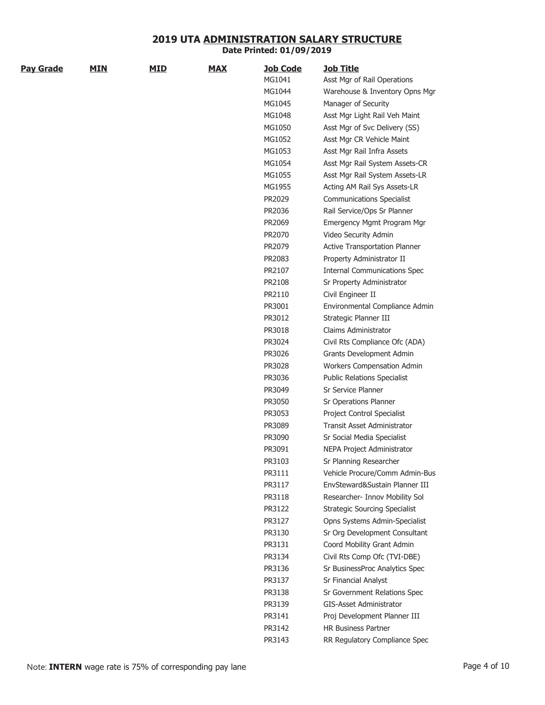| <b>Pay Grade</b> | <b>MIN</b> | <b>MID</b> | <b>MAX</b> | <b>Job Code</b>  | <u>Job Title</u>                                                 |
|------------------|------------|------------|------------|------------------|------------------------------------------------------------------|
|                  |            |            |            | MG1041           | Asst Mgr of Rail Operations                                      |
|                  |            |            |            | MG1044           | Warehouse & Inventory Opns Mgr                                   |
|                  |            |            |            | MG1045           | Manager of Security                                              |
|                  |            |            |            | MG1048           | Asst Mgr Light Rail Veh Maint                                    |
|                  |            |            |            | MG1050           | Asst Mgr of Svc Delivery (SS)                                    |
|                  |            |            |            | MG1052           | Asst Mgr CR Vehicle Maint                                        |
|                  |            |            |            | MG1053           | Asst Mgr Rail Infra Assets                                       |
|                  |            |            |            | MG1054           | Asst Mgr Rail System Assets-CR                                   |
|                  |            |            |            | MG1055           | Asst Mgr Rail System Assets-LR                                   |
|                  |            |            |            | MG1955           | Acting AM Rail Sys Assets-LR                                     |
|                  |            |            |            | PR2029           | <b>Communications Specialist</b>                                 |
|                  |            |            |            | PR2036           | Rail Service/Ops Sr Planner                                      |
|                  |            |            |            | PR2069           | Emergency Mgmt Program Mgr                                       |
|                  |            |            |            | PR2070           | Video Security Admin                                             |
|                  |            |            |            | PR2079           | Active Transportation Planner                                    |
|                  |            |            |            | PR2083           | Property Administrator II                                        |
|                  |            |            |            | PR2107           | <b>Internal Communications Spec</b>                              |
|                  |            |            |            | PR2108           | Sr Property Administrator                                        |
|                  |            |            |            | PR2110           | Civil Engineer II                                                |
|                  |            |            |            | PR3001           | Environmental Compliance Admin                                   |
|                  |            |            |            | PR3012           | Strategic Planner III                                            |
|                  |            |            |            | PR3018           | Claims Administrator                                             |
|                  |            |            |            | PR3024           | Civil Rts Compliance Ofc (ADA)                                   |
|                  |            |            |            | PR3026           | Grants Development Admin                                         |
|                  |            |            |            | PR3028           | Workers Compensation Admin                                       |
|                  |            |            |            | PR3036           | <b>Public Relations Specialist</b>                               |
|                  |            |            |            | PR3049           | <b>Sr Service Planner</b>                                        |
|                  |            |            |            | PR3050           | Sr Operations Planner                                            |
|                  |            |            |            |                  |                                                                  |
|                  |            |            |            | PR3053           | Project Control Specialist<br><b>Transit Asset Administrator</b> |
|                  |            |            |            | PR3089           |                                                                  |
|                  |            |            |            | PR3090<br>PR3091 | Sr Social Media Specialist                                       |
|                  |            |            |            |                  | NEPA Project Administrator                                       |
|                  |            |            |            | PR3103           | Sr Planning Researcher                                           |
|                  |            |            |            | PR3111           | Vehicle Procure/Comm Admin-Bus                                   |
|                  |            |            |            | PR3117           | EnvSteward&Sustain Planner III                                   |
|                  |            |            |            | PR3118           | Researcher- Innov Mobility Sol                                   |
|                  |            |            |            | PR3122           | <b>Strategic Sourcing Specialist</b>                             |
|                  |            |            |            | PR3127           | Opns Systems Admin-Specialist                                    |
|                  |            |            |            | PR3130           | Sr Org Development Consultant                                    |
|                  |            |            |            | PR3131           | Coord Mobility Grant Admin                                       |
|                  |            |            |            | PR3134           | Civil Rts Comp Ofc (TVI-DBE)                                     |
|                  |            |            |            | PR3136           | Sr BusinessProc Analytics Spec                                   |
|                  |            |            |            | PR3137           | Sr Financial Analyst                                             |
|                  |            |            |            | PR3138           | Sr Government Relations Spec                                     |
|                  |            |            |            | PR3139           | <b>GIS-Asset Administrator</b>                                   |
|                  |            |            |            | PR3141           | Proj Development Planner III                                     |
|                  |            |            |            | PR3142           | HR Business Partner                                              |

PR3143 RR Regulatory Compliance Spec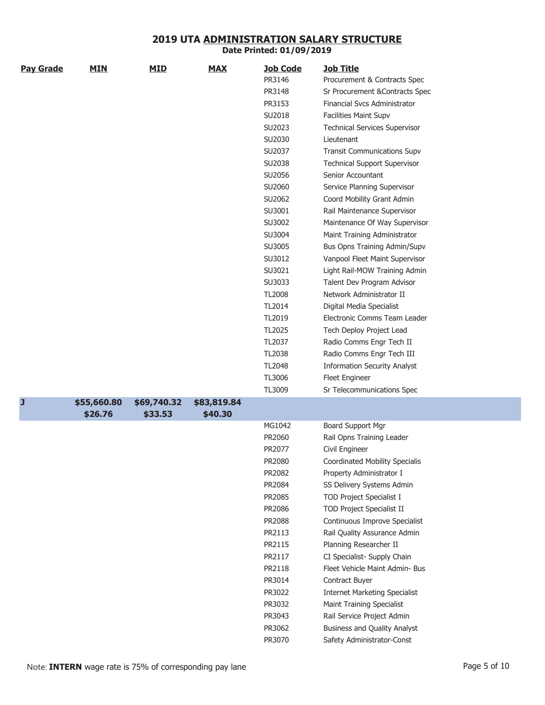|                  | <b>MIN</b>  | <b>MID</b>  | <b>MAX</b>  | <b>Job Code</b>  | <b>Job Title</b>                     |
|------------------|-------------|-------------|-------------|------------------|--------------------------------------|
| <b>Pay Grade</b> |             |             |             | PR3146           | Procurement & Contracts Spec         |
|                  |             |             |             | PR3148           | Sr Procurement & Contracts Spec      |
|                  |             |             |             | PR3153           | <b>Financial Svcs Administrator</b>  |
|                  |             |             |             | SU2018           | <b>Facilities Maint Supv</b>         |
|                  |             |             |             | SU2023           | <b>Technical Services Supervisor</b> |
|                  |             |             |             | SU2030           | Lieutenant                           |
|                  |             |             |             | SU2037           | <b>Transit Communications Supv</b>   |
|                  |             |             |             | SU2038           | <b>Technical Support Supervisor</b>  |
|                  |             |             |             | SU2056           | Senior Accountant                    |
|                  |             |             |             | SU2060           | Service Planning Supervisor          |
|                  |             |             |             | SU2062           | Coord Mobility Grant Admin           |
|                  |             |             |             | SU3001           | Rail Maintenance Supervisor          |
|                  |             |             |             | SU3002           | Maintenance Of Way Supervisor        |
|                  |             |             |             | SU3004           |                                      |
|                  |             |             |             | SU3005           | Maint Training Administrator         |
|                  |             |             |             |                  | Bus Opns Training Admin/Supv         |
|                  |             |             |             | SU3012           | Vanpool Fleet Maint Supervisor       |
|                  |             |             |             | SU3021<br>SU3033 | Light Rail-MOW Training Admin        |
|                  |             |             |             |                  | Talent Dev Program Advisor           |
|                  |             |             |             | <b>TL2008</b>    | Network Administrator II             |
|                  |             |             |             | TL2014           | Digital Media Specialist             |
|                  |             |             |             | TL2019           | Electronic Comms Team Leader         |
|                  |             |             |             | TL2025           | Tech Deploy Project Lead             |
|                  |             |             |             | TL2037           | Radio Comms Engr Tech II             |
|                  |             |             |             | TL2038           | Radio Comms Engr Tech III            |
|                  |             |             |             | TL2048           | <b>Information Security Analyst</b>  |
|                  |             |             |             | TL3006           | Fleet Engineer                       |
|                  |             |             |             | TL3009           | Sr Telecommunications Spec           |
| J                | \$55,660.80 | \$69,740.32 | \$83,819.84 |                  |                                      |
|                  | \$26.76     | \$33.53     | \$40.30     |                  |                                      |
|                  |             |             |             | MG1042           | Board Support Mgr                    |
|                  |             |             |             | PR2060           | Rail Opns Training Leader            |
|                  |             |             |             | PR2077           | Civil Engineer                       |
|                  |             |             |             | PR2080           | Coordinated Mobility Specialis       |
|                  |             |             |             | PR2082           | Property Administrator I             |
|                  |             |             |             | PR2084           | SS Delivery Systems Admin            |
|                  |             |             |             | PR2085           | <b>TOD Project Specialist I</b>      |
|                  |             |             |             | PR2086           | <b>TOD Project Specialist II</b>     |
|                  |             |             |             | PR2088           | Continuous Improve Specialist        |
|                  |             |             |             | PR2113           | Rail Quality Assurance Admin         |
|                  |             |             |             | PR2115           | Planning Researcher II               |
|                  |             |             |             | PR2117           | CI Specialist- Supply Chain          |
|                  |             |             |             | PR2118           | Fleet Vehicle Maint Admin- Bus       |
|                  |             |             |             | PR3014           | Contract Buyer                       |
|                  |             |             |             | PR3022           | <b>Internet Marketing Specialist</b> |
|                  |             |             |             | PR3032           | Maint Training Specialist            |
|                  |             |             |             | PR3043           | Rail Service Project Admin           |
|                  |             |             |             | PR3062           | Business and Quality Analyst         |
|                  |             |             |             | PR3070           | Safety Administrator-Const           |

**Date Printed: 01/09/2019**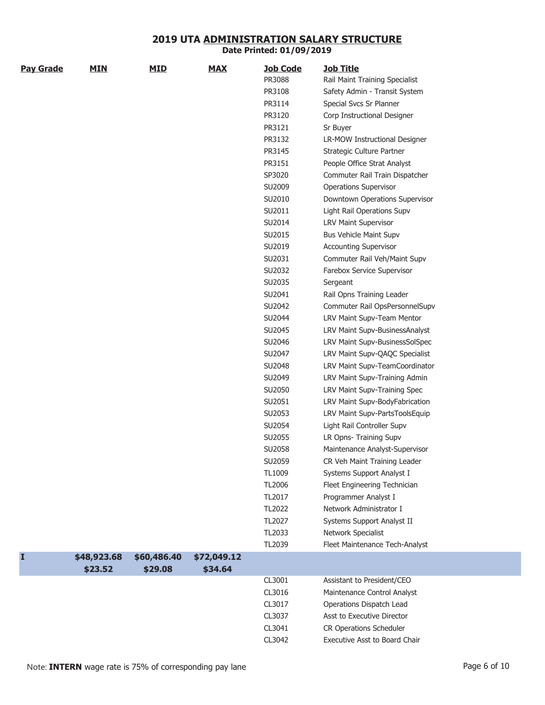| <b>Pay Grade</b> | <b>MIN</b>  | <u>MID</u>  | <b>MAX</b>  | <b>Job Code</b> | <b>Job Title</b>               |
|------------------|-------------|-------------|-------------|-----------------|--------------------------------|
|                  |             |             |             | PR3088          | Rail Maint Training Specialist |
|                  |             |             |             | PR3108          | Safety Admin - Transit System  |
|                  |             |             |             | PR3114          | Special Svcs Sr Planner        |
|                  |             |             |             | PR3120          | Corp Instructional Designer    |
|                  |             |             |             | PR3121          | Sr Buyer                       |
|                  |             |             |             | PR3132          | LR-MOW Instructional Designer  |
|                  |             |             |             | PR3145          | Strategic Culture Partner      |
|                  |             |             |             | PR3151          | People Office Strat Analyst    |
|                  |             |             |             | SP3020          | Commuter Rail Train Dispatcher |
|                  |             |             |             | SU2009          | <b>Operations Supervisor</b>   |
|                  |             |             |             | SU2010          | Downtown Operations Supervisor |
|                  |             |             |             | SU2011          | Light Rail Operations Supv     |
|                  |             |             |             | SU2014          | LRV Maint Supervisor           |
|                  |             |             |             | SU2015          | <b>Bus Vehicle Maint Supv</b>  |
|                  |             |             |             | SU2019          | <b>Accounting Supervisor</b>   |
|                  |             |             |             | SU2031          | Commuter Rail Veh/Maint Supv   |
|                  |             |             |             | SU2032          | Farebox Service Supervisor     |
|                  |             |             |             | SU2035          | Sergeant                       |
|                  |             |             |             | SU2041          | Rail Opns Training Leader      |
|                  |             |             |             | SU2042          | Commuter Rail OpsPersonnelSupv |
|                  |             |             |             | SU2044          | LRV Maint Supv-Team Mentor     |
|                  |             |             |             | SU2045          | LRV Maint Supv-BusinessAnalyst |
|                  |             |             |             | SU2046          | LRV Maint Supv-BusinessSolSpec |
|                  |             |             |             | SU2047          | LRV Maint Supv-QAQC Specialist |
|                  |             |             |             | SU2048          | LRV Maint Supv-TeamCoordinator |
|                  |             |             |             | SU2049          | LRV Maint Supv-Training Admin  |
|                  |             |             |             | SU2050          | LRV Maint Supv-Training Spec   |
|                  |             |             |             | SU2051          | LRV Maint Supv-BodyFabrication |
|                  |             |             |             | SU2053          | LRV Maint Supv-PartsToolsEquip |
|                  |             |             |             | SU2054          | Light Rail Controller Supv     |
|                  |             |             |             | SU2055          | LR Opns- Training Supv         |
|                  |             |             |             | SU2058          | Maintenance Analyst-Supervisor |
|                  |             |             |             | SU2059          | CR Veh Maint Training Leader   |
|                  |             |             |             | TL1009          | Systems Support Analyst I      |
|                  |             |             |             | TL2006          | Fleet Engineering Technician   |
|                  |             |             |             | TL2017          | Programmer Analyst I           |
|                  |             |             |             | TL2022          | Network Administrator I        |
|                  |             |             |             | TL2027          | Systems Support Analyst II     |
|                  |             |             |             | TL2033          | Network Specialist             |
|                  |             |             |             | TL2039          | Fleet Maintenance Tech-Analyst |
|                  | \$48,923.68 | \$60,486.40 | \$72,049.12 |                 |                                |
|                  | \$23.52     | \$29.08     | \$34.64     |                 |                                |
|                  |             |             |             | CL3001          | Assistant to President/CEO     |
|                  |             |             |             | CL3016          | Maintenance Control Analyst    |
|                  |             |             |             | CL3017          | Operations Dispatch Lead       |
|                  |             |             |             | CL3037          | Asst to Executive Director     |
|                  |             |             |             | CL3041          | CR Operations Scheduler        |
|                  |             |             |             | CL3042          | Executive Asst to Board Chair  |
|                  |             |             |             |                 |                                |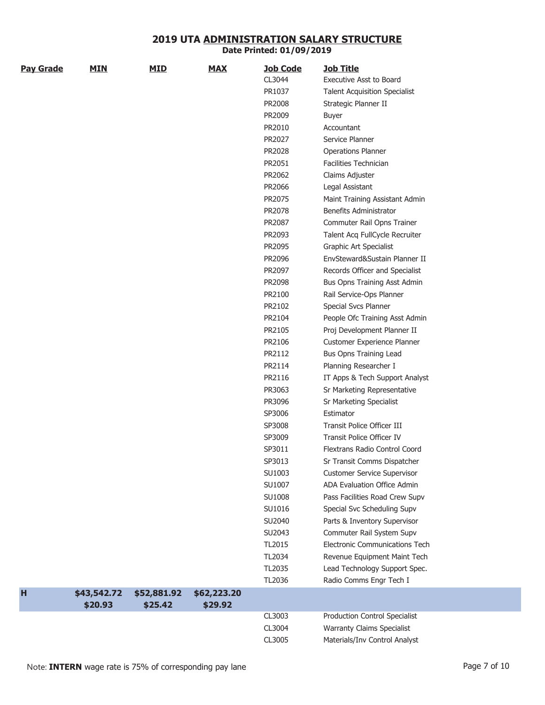| <b>Pay Grade</b> | <b>MIN</b>  | <b>MID</b>  | <b>MAX</b>  | <b>Job Code</b> | <b>Job Title</b>                     |
|------------------|-------------|-------------|-------------|-----------------|--------------------------------------|
|                  |             |             |             | CL3044          | <b>Executive Asst to Board</b>       |
|                  |             |             |             | PR1037          | <b>Talent Acquisition Specialist</b> |
|                  |             |             |             | PR2008          | Strategic Planner II                 |
|                  |             |             |             | PR2009          | Buyer                                |
|                  |             |             |             | PR2010          | Accountant                           |
|                  |             |             |             | PR2027          | Service Planner                      |
|                  |             |             |             | PR2028          | <b>Operations Planner</b>            |
|                  |             |             |             | PR2051          | <b>Facilities Technician</b>         |
|                  |             |             |             | PR2062          | Claims Adjuster                      |
|                  |             |             |             | PR2066          | Legal Assistant                      |
|                  |             |             |             | PR2075          | Maint Training Assistant Admin       |
|                  |             |             |             | PR2078          | Benefits Administrator               |
|                  |             |             |             | PR2087          | Commuter Rail Opns Trainer           |
|                  |             |             |             | PR2093          | Talent Acq FullCycle Recruiter       |
|                  |             |             |             | PR2095          | Graphic Art Specialist               |
|                  |             |             |             | PR2096          | EnvSteward&Sustain Planner II        |
|                  |             |             |             | PR2097          | Records Officer and Specialist       |
|                  |             |             |             | PR2098          | Bus Opns Training Asst Admin         |
|                  |             |             |             | PR2100          | Rail Service-Ops Planner             |
|                  |             |             |             | PR2102          | Special Svcs Planner                 |
|                  |             |             |             | PR2104          | People Ofc Training Asst Admin       |
|                  |             |             |             | PR2105          | Proj Development Planner II          |
|                  |             |             |             | PR2106          | Customer Experience Planner          |
|                  |             |             |             | PR2112          | Bus Opns Training Lead               |
|                  |             |             |             | PR2114          | Planning Researcher I                |
|                  |             |             |             | PR2116          | IT Apps & Tech Support Analyst       |
|                  |             |             |             | PR3063          | Sr Marketing Representative          |
|                  |             |             |             | PR3096          | Sr Marketing Specialist              |
|                  |             |             |             | SP3006          | Estimator                            |
|                  |             |             |             | SP3008          | Transit Police Officer III           |
|                  |             |             |             | SP3009          | Transit Police Officer IV            |
|                  |             |             |             | SP3011          | Flextrans Radio Control Coord        |
|                  |             |             |             | SP3013          | Sr Transit Comms Dispatcher          |
|                  |             |             |             | SU1003          | <b>Customer Service Supervisor</b>   |
|                  |             |             |             | SU1007          | ADA Evaluation Office Admin          |
|                  |             |             |             | SU1008          | Pass Facilities Road Crew Supv       |
|                  |             |             |             | SU1016          | Special Svc Scheduling Supv          |
|                  |             |             |             | SU2040          | Parts & Inventory Supervisor         |
|                  |             |             |             | SU2043          | Commuter Rail System Supv            |
|                  |             |             |             | TL2015          | Electronic Communications Tech       |
|                  |             |             |             | TL2034          | Revenue Equipment Maint Tech         |
|                  |             |             |             | TL2035          | Lead Technology Support Spec.        |
|                  |             |             |             | TL2036          | Radio Comms Engr Tech I              |
| H                | \$43,542.72 | \$52,881.92 | \$62,223.20 |                 |                                      |
|                  | \$20.93     | \$25.42     | \$29.92     |                 |                                      |
|                  |             |             |             | CL3003          | Production Control Specialist        |
|                  |             |             |             | CL3004          | <b>Warranty Claims Specialist</b>    |
|                  |             |             |             | CL3005          | Materials/Inv Control Analyst        |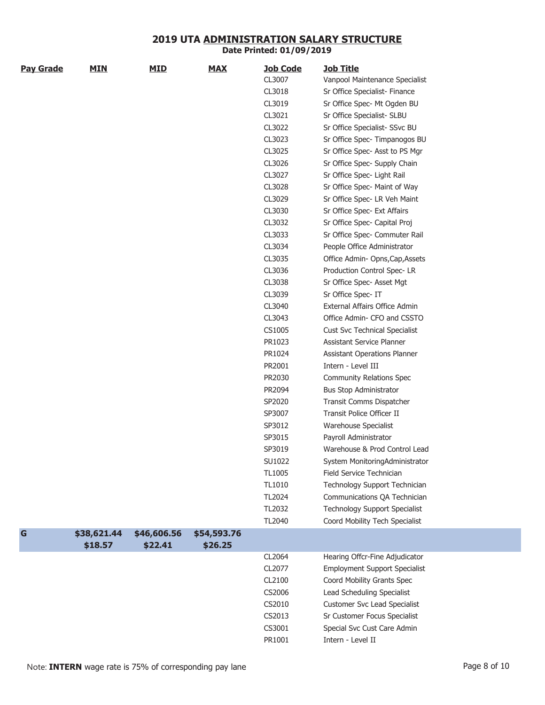| <b>Pay Grade</b> | <b>MIN</b>  | <u>MID</u>  | <b>MAX</b>  | <b>Job Code</b> | <b>Job Title</b>                     |
|------------------|-------------|-------------|-------------|-----------------|--------------------------------------|
|                  |             |             |             | CL3007          | Vanpool Maintenance Specialist       |
|                  |             |             |             | CL3018          | Sr Office Specialist- Finance        |
|                  |             |             |             | CL3019          | Sr Office Spec- Mt Ogden BU          |
|                  |             |             |             | CL3021          | Sr Office Specialist- SLBU           |
|                  |             |             |             | CL3022          | Sr Office Specialist- SSvc BU        |
|                  |             |             |             | CL3023          | Sr Office Spec- Timpanogos BU        |
|                  |             |             |             | CL3025          | Sr Office Spec- Asst to PS Mgr       |
|                  |             |             |             | CL3026          | Sr Office Spec- Supply Chain         |
|                  |             |             |             | CL3027          | Sr Office Spec- Light Rail           |
|                  |             |             |             | CL3028          | Sr Office Spec- Maint of Way         |
|                  |             |             |             | CL3029          | Sr Office Spec- LR Veh Maint         |
|                  |             |             |             | CL3030          | Sr Office Spec- Ext Affairs          |
|                  |             |             |             | CL3032          | Sr Office Spec- Capital Proj         |
|                  |             |             |             | CL3033          | Sr Office Spec- Commuter Rail        |
|                  |             |             |             | CL3034          | People Office Administrator          |
|                  |             |             |             | CL3035          | Office Admin-Opns, Cap, Assets       |
|                  |             |             |             | CL3036          | Production Control Spec-LR           |
|                  |             |             |             | CL3038          | Sr Office Spec- Asset Mgt            |
|                  |             |             |             | CL3039          | Sr Office Spec- IT                   |
|                  |             |             |             | CL3040          | External Affairs Office Admin        |
|                  |             |             |             | CL3043          | Office Admin- CFO and CSSTO          |
|                  |             |             |             | CS1005          | <b>Cust Svc Technical Specialist</b> |
|                  |             |             |             | PR1023          | Assistant Service Planner            |
|                  |             |             |             | PR1024          | Assistant Operations Planner         |
|                  |             |             |             | PR2001          | Intern - Level III                   |
|                  |             |             |             | PR2030          | Community Relations Spec             |
|                  |             |             |             | PR2094          | <b>Bus Stop Administrator</b>        |
|                  |             |             |             | SP2020          | Transit Comms Dispatcher             |
|                  |             |             |             | SP3007          | Transit Police Officer II            |
|                  |             |             |             | SP3012          | Warehouse Specialist                 |
|                  |             |             |             | SP3015          | Payroll Administrator                |
|                  |             |             |             | SP3019          | Warehouse & Prod Control Lead        |
|                  |             |             |             | SU1022          | System MonitoringAdministrator       |
|                  |             |             |             | TL1005          | Field Service Technician             |
|                  |             |             |             | TL1010          | Technology Support Technician        |
|                  |             |             |             | TL2024          | Communications QA Technician         |
|                  |             |             |             | TL2032          | <b>Technology Support Specialist</b> |
|                  |             |             |             | TL2040          | Coord Mobility Tech Specialist       |
| $\mathbf G$      | \$38,621.44 | \$46,606.56 | \$54,593.76 |                 |                                      |
|                  | \$18.57     | \$22.41     | \$26.25     |                 |                                      |
|                  |             |             |             | CL2064          | Hearing Offcr-Fine Adjudicator       |
|                  |             |             |             | CL2077          | <b>Employment Support Specialist</b> |
|                  |             |             |             | CL2100          | Coord Mobility Grants Spec           |
|                  |             |             |             | CS2006          | Lead Scheduling Specialist           |
|                  |             |             |             | CS2010          | <b>Customer Svc Lead Specialist</b>  |
|                  |             |             |             | CS2013          | Sr Customer Focus Specialist         |
|                  |             |             |             | CS3001          | Special Svc Cust Care Admin          |
|                  |             |             |             | PR1001          | Intern - Level II                    |

**Date Printed: 01/09/2019**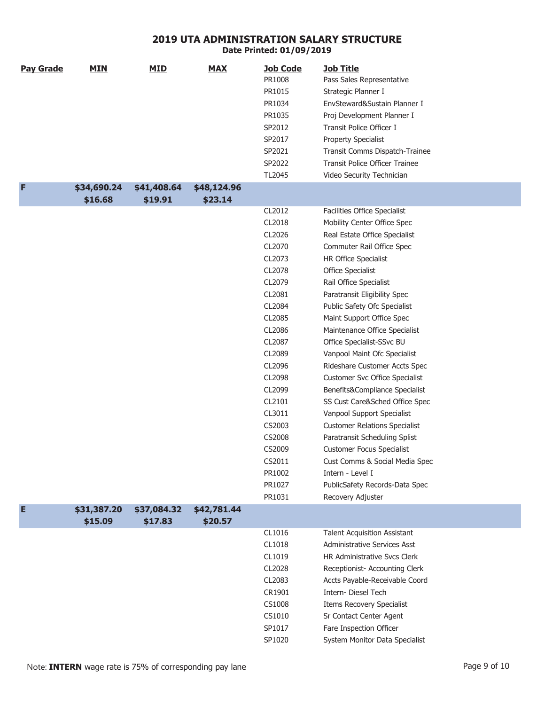| <b>Pay Grade</b> | <b>MIN</b>  | <b>MID</b>  | <b>MAX</b>  | <b>Job Code</b> | <b>Job Title</b>                      |
|------------------|-------------|-------------|-------------|-----------------|---------------------------------------|
|                  |             |             |             | PR1008          | Pass Sales Representative             |
|                  |             |             |             | PR1015          | Strategic Planner I                   |
|                  |             |             |             | PR1034          | EnvSteward&Sustain Planner I          |
|                  |             |             |             | PR1035          | Proj Development Planner I            |
|                  |             |             |             | SP2012          | Transit Police Officer I              |
|                  |             |             |             | SP2017          | <b>Property Specialist</b>            |
|                  |             |             |             | SP2021          | Transit Comms Dispatch-Trainee        |
|                  |             |             |             | SP2022          | <b>Transit Police Officer Trainee</b> |
|                  |             |             |             | TL2045          | Video Security Technician             |
| F                | \$34,690.24 | \$41,408.64 | \$48,124.96 |                 |                                       |
|                  | \$16.68     | \$19.91     | \$23.14     |                 |                                       |
|                  |             |             |             | CL2012          | Facilities Office Specialist          |
|                  |             |             |             | CL2018          | Mobility Center Office Spec           |
|                  |             |             |             | CL2026          | Real Estate Office Specialist         |
|                  |             |             |             | CL2070          | Commuter Rail Office Spec             |
|                  |             |             |             | CL2073          | HR Office Specialist                  |
|                  |             |             |             | CL2078          | Office Specialist                     |
|                  |             |             |             | CL2079          | Rail Office Specialist                |
|                  |             |             |             | CL2081          | Paratransit Eligibility Spec          |
|                  |             |             |             | CL2084          | Public Safety Ofc Specialist          |
|                  |             |             |             | CL2085          | Maint Support Office Spec             |
|                  |             |             |             | CL2086          | Maintenance Office Specialist         |
|                  |             |             |             | CL2087          | Office Specialist-SSvc BU             |
|                  |             |             |             | CL2089          | Vanpool Maint Ofc Specialist          |
|                  |             |             |             | CL2096          | Rideshare Customer Accts Spec         |
|                  |             |             |             | CL2098          | Customer Svc Office Specialist        |
|                  |             |             |             | CL2099          | Benefits&Compliance Specialist        |
|                  |             |             |             | CL2101          | SS Cust Care&Sched Office Spec        |
|                  |             |             |             | CL3011          | Vanpool Support Specialist            |
|                  |             |             |             | CS2003          | <b>Customer Relations Specialist</b>  |
|                  |             |             |             | CS2008          | Paratransit Scheduling Splist         |
|                  |             |             |             | CS2009          | <b>Customer Focus Specialist</b>      |
|                  |             |             |             | CS2011          | Cust Comms & Social Media Spec        |
|                  |             |             |             | PR1002          | Intern - Level I                      |
|                  |             |             |             | PR1027          | PublicSafety Records-Data Spec        |
|                  |             |             |             | PR1031          | Recovery Adjuster                     |
| E                | \$31,387.20 | \$37,084.32 | \$42,781.44 |                 |                                       |
|                  | \$15.09     | \$17.83     | \$20.57     |                 |                                       |
|                  |             |             |             | CL1016          | <b>Talent Acquisition Assistant</b>   |
|                  |             |             |             | CL1018          | <b>Administrative Services Asst</b>   |
|                  |             |             |             | CL1019          | HR Administrative Svcs Clerk          |
|                  |             |             |             | CL2028          | Receptionist- Accounting Clerk        |
|                  |             |             |             | CL2083          | Accts Payable-Receivable Coord        |
|                  |             |             |             | CR1901          | Intern- Diesel Tech                   |
|                  |             |             |             | CS1008          | Items Recovery Specialist             |
|                  |             |             |             | CS1010          | Sr Contact Center Agent               |
|                  |             |             |             | SP1017          | Fare Inspection Officer               |
|                  |             |             |             | SP1020          | System Monitor Data Specialist        |